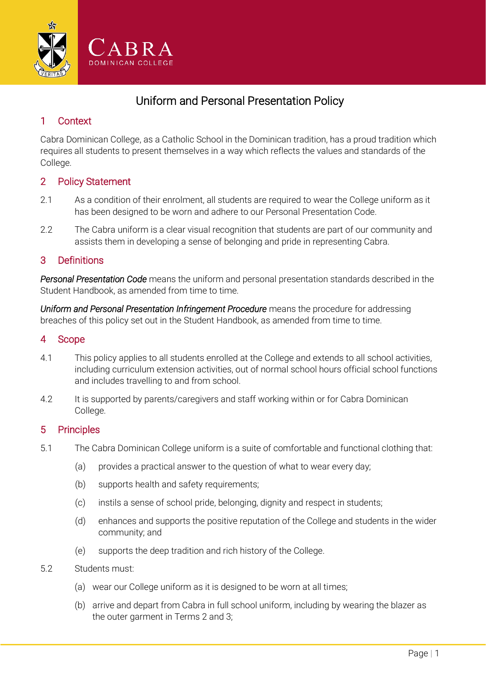

# Uniform and Personal Presentation Policy

# 1 Context

Cabra Dominican College, as a Catholic School in the Dominican tradition, has a proud tradition which requires all students to present themselves in a way which reflects the values and standards of the College.

# 2 Policy Statement

- 2.1 As a condition of their enrolment, all students are required to wear the College uniform as it has been designed to be worn and adhere to our Personal Presentation Code.
- 2.2 The Cabra uniform is a clear visual recognition that students are part of our community and assists them in developing a sense of belonging and pride in representing Cabra.

# 3 Definitions

*Personal Presentation Code* means the uniform and personal presentation standards described in the Student Handbook, as amended from time to time.

*Uniform and Personal Presentation Infringement Procedure* means the procedure for addressing breaches of this policy set out in the Student Handbook, as amended from time to time.

#### 4 Scope

- 4.1 This policy applies to all students enrolled at the College and extends to all school activities, including curriculum extension activities, out of normal school hours official school functions and includes travelling to and from school.
- 4.2 It is supported by parents/caregivers and staff working within or for Cabra Dominican College.

# 5 Principles

- 5.1 The Cabra Dominican College uniform is a suite of comfortable and functional clothing that:
	- (a) provides a practical answer to the question of what to wear every day;
	- (b) supports health and safety requirements;
	- (c) instils a sense of school pride, belonging, dignity and respect in students;
	- (d) enhances and supports the positive reputation of the College and students in the wider community; and
	- (e) supports the deep tradition and rich history of the College.
- 5.2 Students must:
	- (a) wear our College uniform as it is designed to be worn at all times;
	- (b) arrive and depart from Cabra in full school uniform, including by wearing the blazer as the outer garment in Terms 2 and 3;